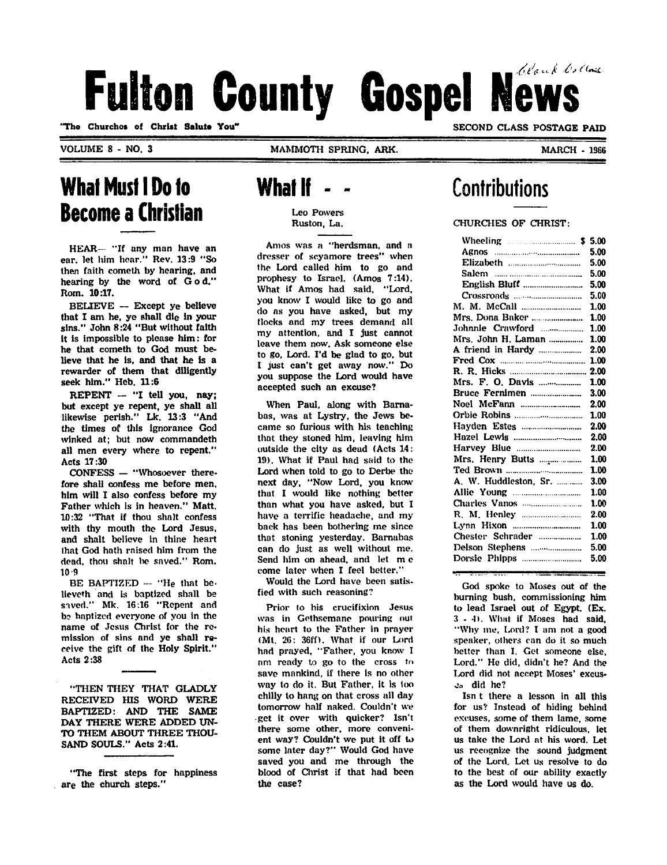# Fulton County Gospel News

"The Churches of Christ Salute You"

VOLUME 8 - NO. 3 MAMMOTH SPRING, ARK.

SECOND CLASS POSTAGE PAID

MARCH - 1966

### What Must I Do to Become a Christian

HEAR— "If any man have an ear. let him hoar." Rev. 13:9 "So then faith cometh by hearing, and hearing by the word of God." Rom. 10:17.

BELIEVE — Except ye believe that I am he, yc shall die in your sins." John 8:24 "But without faith it is impossible to please him: for he that cometh to God must be lieve that he is, and that he is a rewarder of them that diligently seek him." Heb. 11:6

REPENT - "I tell you, nay; but except ye repent, ye shall all likewise perish." Lk. 13:3 "And the times of this ignorance God winked at; but now commandeth all men every where to repent." Acts 17:30

CONFESS — "Whosoever there fore shall confess me before men, him will I also confess before my Father which is in heaven." Matt. 10:32 "That if thou shalt confess with thy mouth the Lord Jesus, and shalt believe in thine heart lhat God hath raised him from the dead, thou shalt be saved." Rom.  $10 - 9$ 

BE BAPTIZED — "He that be. lieveth and is baptized shall be saved." Mk. 16:16 "Repent and bo baptized everyone of you in the name of Jesus Christ for the re mission of sins and ye shall re ceive the gift of the Holy Spirit." Acts 2:38

"THEN THEY THAT GLADLY RECEIVED HIS WORD WERE BAPTIZED: AND THE SAME DAY THERE WERE ADDED UN TO THEM ABOUT THREE THOU SAND SOULS." Acts 2:41.

"The first steps for happiness are the church steps."

### **What If**

Leo Powers Ruston, La.

Amos was a "herdsman, and a dresser of scyamore trees" when the Lord called him to go and prophesy to Israel. (Amos 7:14). What if Amos had said, "Lord, you know I would like to go and do as you have asked, but my flocks and my trees demand all my attention, and I just cannot leave them now. Ask someone else to go, Lord. I'd be glad to go, but I just can't get away now." Do you suppose the Lord would have accepted such an excuse?

When Paul, along with Barna bas, was at Lystry, the Jews be came so furious with his teaching that they stoned him, leaving him outside the city as dead (Acts 14: 19). What if Paul had said to the Lord when told to go to Derbe the next day, "Now Lord, you know that I would like nothing better than what you have asked, but I have a terrific headache, and my back has been bothering me since that stoning yesterday. Barnabas can do just as well without me. Send him on ahead, and let m c come later when I feel better."

Would the Lord have been satis fied with such reasoning?

Prior to his crucifixion Jesus was in Gethsemane pouring out his heart to the Father in prayer (Mt. 26: 36ff). What if our Lord had prayed, "Father, you know I nm ready to go to the cross to save mankind, if there is no other way to do it. But Father, it is too chilly to hang on that cross all day tomorrow half naked. Couldn't we •get it over with quicker? Isn't there some other, more conveni ent way? Couldn't we put it off to some later day?" Would God have saved you and me through the blood of Christ if that had been the case?

### **Contributions**

#### CHURCHES OF CHRIST:

| Wheeling 2008 2009 Wheeling 2008 2009 |      |
|---------------------------------------|------|
|                                       | 5.00 |
|                                       | 5.00 |
|                                       | 5.00 |
|                                       | 5.00 |
|                                       | 5.00 |
|                                       | 1.00 |
| Mrs. Dona Baker                       | 1.00 |
| Johnnie Crawford                      | 1.00 |
| Mrs. John H. Laman                    | 1.00 |
| A friend in Hardy                     | 2.00 |
|                                       | 1.00 |
|                                       | 2.00 |
|                                       | 1.00 |
|                                       | 3.00 |
|                                       | 2.00 |
|                                       | 1.00 |
|                                       | 2.00 |
|                                       | 2.00 |
|                                       | 2.00 |
| Mrs. Henry Butts                      | 1.00 |
|                                       | 1.00 |
| A. W. Huddleston, Sr.                 | 3.00 |
|                                       | 1.00 |
|                                       | 1.00 |
|                                       | 2.00 |
|                                       | 1.00 |
| Chester Schrader                      | 1.00 |
|                                       | 5.00 |
| Dorsie Phipps                         | 5.00 |
|                                       |      |

God spoke to Moses out of the burning bush, commissioning him to lead Israel out of Egypt. (Ex. 3-4). Whut if Moses had said, "Why me. Lord? I am not a good speaker, others can do it so much better than I. Get someone else, Lord." He did, didn't he? And the Lord did not accept Moses' excuso» did he?

Isn t there a lesson in all this for us? Instead of hiding behind excuses, some of them lame, some of them downright ridiculous, let us take the Lord at his word. Let us recognize the sound judgment of the Lord. Let us resolve to do to the best of our ability exactly as the Lord would have us do.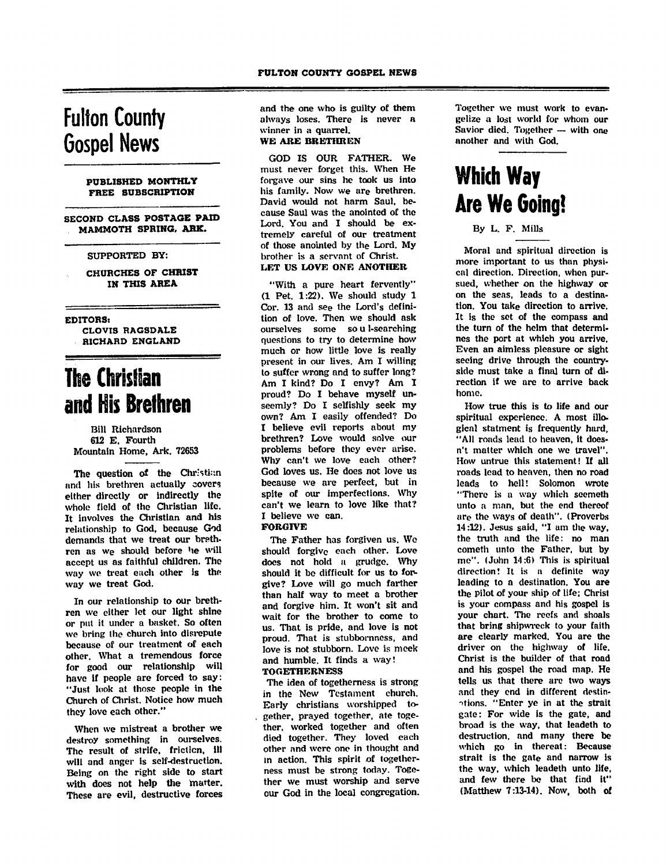### Fulton County Gospel News

#### PUBLISHED MONTHLY FREE SUBSCRIPTION

SECOND CLASS POSTAGE PAID MAMMOTH SPRING. ARK.

#### SUPPORTED BY:

CHURCHES OF CHRIST IN THIS AREA

EDITORS)

CLOVIS RAGSDALE RICHARD ENGLAND

### The Christian and His Brethren

#### Bill Richardson 612 E. Fourth Mountain Home. Ark. 72653

The question of the Christian and his brethren actually covers either directly or indirectly the whole field of the Christian life. It involves the Christian and his relationship to God, because God demands that we treat our breth ren as we should before he will accept us as faithful children. The way wo treat each other is the way we treat God.

In our relationship to our breth ren we either let our light shine or put it under a basket. So often we bring the church into disrepute because of our treatment of each other. What a tremendous force for good our relationship will have if people are forced to say: "Just look at those people in the Church of Christ. Notice how much they love each other."

When we mistreat a brother we destroy something in ourselves. The result of strife, friction, ill will and anger is self-destruction. Being on the right side to start with does not help the matter. These are evil, destructive forces and the one who is guilty of them always loses. There is never a winner in a quarrel.

#### WE ARE BRETHREN

GOD IS OUR FATHER. We must never forget this. When He forgave our sins he took us into his family. Now we are brethren. David would not harm Saul, be cause Saul was the anointed of the Lord. You and I should be ex tremely careful of our treatment of those anointed by the Lord. My brother is a servant of Christ. LET US LOVE ONE ANOTHER

"With a pure heart fervently" (1 Pet. 1:22). We should study 1 Cor. 13 and see the Lord's defini tion of love. Then we should ask ourselves some so u 1-searching questions to try to determine how much or how little love is really present in our lives. Am I willing to suffer wrong and to suffer long? Am I kind? Do I envy? Am I proud? Do I behave myself un seemly? Do I selfishly seek my own? Am I easily offended? Do I believe evil reports about my brethren? Love would solve our problems before they ever arise. Why can't we love each other? God loves us. He does not love us because we are perfect, but in spite of our imperfections. Why spite of our imperfections. Why can't we learn to love like that? I believe we can. FORGIVE

The Father has forgiven us. We should forgive each other. Love does not hold u grudge. Why should it be difficult for us to for give? Love will go much farther than half way to meet a brother and forgive him. It won't sit and wait for the brother to come to us. That is pride, and love is not proud. That is stubbornness, and love is not stubborn. Love is meek and humble. It finds a way! **TOGETHERNESS** 

The idea of togetherness is strong in the New Testament church. Early christians worshipped to gether, prayed together, ate toge ther, worked together and often died together. They loved each other and were one in thought and in action. This spirit of together ness must be strong today. Toge ther we must worship and serve our God in the local congregation. Together we must work to evangelize a lost world for whom our Savior died. Together — with one another and with God.

## Which Way Are We Going!

#### By L. F. Mills

Moral and spiritual direction is more important to us than physi cal direction. Direction, when pur sued, whether on the highway or on the seas, leads to a destina tion. You take direction to arrive. It is the set of the compass and the turn of the helm that determi nes the port at which you arrive. Even an aimless pleasure or sight seeing drive through the countryside must take a final turn of di rection if we arc to arrive back home.

How true this is to life and our spiritual experience. A most illo gical statment is frequently hard, "All roads lead to heaven, it doesn't matter which one we travel". How untrue this statement! If all roads lead to heaven, then no road leads to hell! Solomon wrote "There is a way which seemed) unto a man, but the end thereof are the ways of death". (Proverbs 14:12). Jesus said, "I am the way, the truth and the life: no man cometh unto the Father, but by me". (John 14:6) This is spiritual direction! It is a definite way leading to a destination. You are the Pilot of your ship of life; Christ is your compass and his gospel is your chart. The reefs and shoals that bring shipwreck to your faith are clearly marked. You are the driver on the highway of life. Christ is the builder of that road and his gospel the road map. He tells as that there arc two ways and they end in different destin ations. "Enter ye in at the strait gate: For wide is the gate, and broad is the way, that leadeth to destruction, and many there be which go in thereat: Because strait is the gate and narrow is the way, which leadeth unto life, and few there be that find it" (Matthew 7:13-14). Now, both of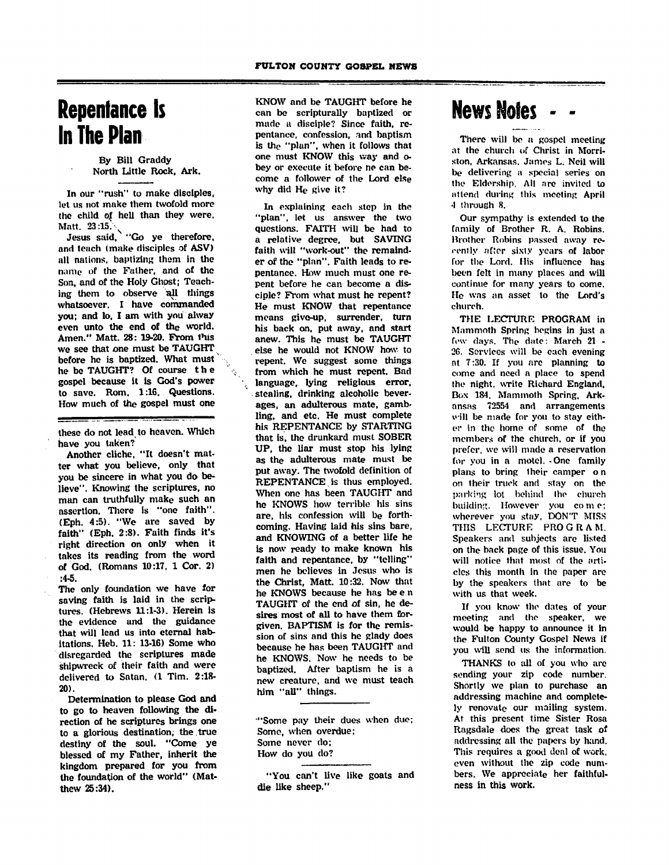### Repentance Is In The Plan

#### By Bill Graddy North Little Rock, Ark.

In our "rush" to make disciples, let us not make them twofold more the child of hell than they were.<br>Matt.  $23:15.$ Matt. 23:15.  $\searrow$ 

Jesus said, "Go ye therefore, and teach (make disciples of ASV) all nations, baptizing them in the name of the Father, and of the Son, and of the Holy Ghost; Teach ing them to observe all things whatsoever. I have commanded you; and lo, I am with you alway even unto the end of the world. Amen." Matt. 28: 19-20. From 1'iis we see that one must be TAUGHT before he is baptized. What must he be TAUGHT? Of course the gospel because it is God's power to save. Rom. 1:16. Questions. How much of the gospel must one

these do not lead to heaven. Which have you taken?

Another cliche, "It doesn't mat ter what you believe, only that you be sincere in what you do be lieve". Knowing the scriptures, no man can truthfully make such an assertion. There is "one faith". (Eph. 4:5). "We are saved by faith" (Eph. 2:8). Faith finds it's right direction on only when it takes its reading from the word of God. (Romans 10:17, 1 Cor. 2) :4-5.

The only foundation we have for saving faith is laid in the scrip tures. (Hebrews 11:1-3). Herein is the evidence and the guidance that will lead us into eternal hab itations, Heb. 11: 13-16) Some who disregarded the scriptures made shipwreck of their faith and were delivered to Satan. (1 Tim. 2:18- 20).

Determination to please God and to go to heaven following the di rection of he scriptures brings one to a glorious destination; the true destiny of the soul. "Come ye blessed of my Father, inherit the kingdom prepared for you from the foundation of the world" (Mat thew 25:34).

KNOW and be TAUGHT before he can be scripturally baptized or made a disciple? Since faith, re pentance, confession, and baptism is the "plan", when it follows that one must KNOW this way and obey or execute it before he can be come a follower of the Lord else why did He give it?

In explaining each step in the "plan", let us answer the two questions. FAITH will be had to a relative degree, but SAVING faith will "work-out" the remaind er of the "plan". Faith leads to re pentance. How much must one re pent before he can become a dis ciple? From what must he repent? He must KNOW that repentance means give-up, surrender, turn his back on, put away, and start anew. This he must be TAUGHT else he would not KNOW how to repent. We suggest some things from which he must repent. Bad language, lying religious error. stealing, drinking alcoholic beverages, an adulterous mate, gamb ling, and etc. He must complete his REPENTANCE by STARTING that is, the drunkard must SOBER UP, the liar must stop his lying as the adulterous mate must be put away. The twofold definition of REPENTANCE is thus employed. When one has been TAUGHT and he KNOWS how terrible his sins are, his confession will be forth coming. Having laid his sins bare, and KNOWING of a better life he is now ready to make known his faith and repentance, by "telling" men he believes in Jesus who is the Christ, Matt. 10:32. Now that he KNOWS because he has be e n TAUGHT of the end of sin, he de sires most of all to have them for given. BAPTISM is for the remis sion of sins and this he glady does because he has been TAUGHT and he KNOWS. Now he needs to be baptized. After baptism he is a new creature, and we must teach him "all" things.

"Some pay their dues when due; Some, when overdue; Some never do; How do you do?

"You can't live like goats and die like sheep."

### News Notes -

There will be a gospel meeting at the church of Christ in Morriston, Arkansas. James L. Neil will be delivering a special series on the Eldership. All nre invited to attend during this meeting April 4 through 8.

Our sympathy is extended to the family of Brother R. A. Robins. Brother Robins passed away re cently after sixty years of labor (or the Lord. His influence has been felt in many places and will continue for many years to come. Ho was an asset to the Lord's church.

THE LECTURE PROGRAM in Mammoth Spring begins in just a few clays. The date: March 21 - 26. Services will be each evening at 7:30. If you are planning to come and need a place to spend the night, write Richard England, Box 184. Mammoth Spring, Ark ansas 72554 and arrangements will be made for you to stay eith er in the home of some of the members of the church, or if you prefer, we will made a reservation for you in a mote). -One family plans to bring their camper o n on their truck and stay on the parking lot behind the church building. However you come; wherever you stay, DON'T MISS THIS LECTURE PROGRAM. Speakers and subjects are listed on the back page of this issue. You will notice that most of the arti cles this month in the paper are by the speakers that are to be with us that week.

If you know the dates of your meeting and the speaker, we would be happy to announce it in the Fulton County Gospel News If you will send us the information.

THANKS to all of you who are sending your zip code number. Shortly we plan to purchase an addressing machine and complete ly renovate our mailing system. At this present time Sister Rosa Ragsdale does the great task of addressing all the papers by hand. This requires a good deal of work, even without the zip code num bers. We appreciate her faithful ness in this work.